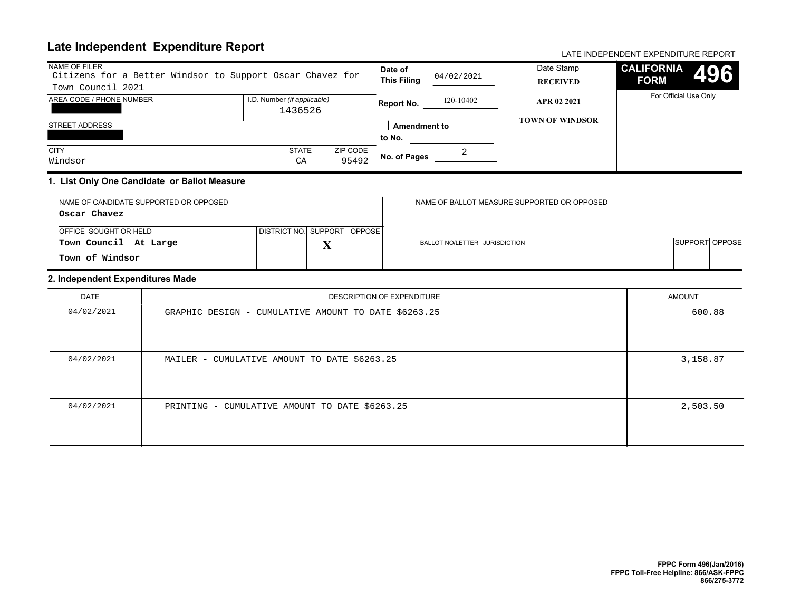# **Late Independent Expenditure Report** And Account 2001 12 and 2001 12 and 2007 12 and 2008 12 and 2008 12 and 200

| NAME OF FILER<br>Citizens for a Better Windsor to Support Oscar Chavez for<br>Town Council 2021 |                                        |                   |                               | 04/02/2021 | Date Stamp<br><b>RECEIVED</b> | <b>CALIFORNIA</b><br><b>FORM</b> | 4961 |
|-------------------------------------------------------------------------------------------------|----------------------------------------|-------------------|-------------------------------|------------|-------------------------------|----------------------------------|------|
| AREA CODE / PHONE NUMBER                                                                        | I.D. Number (if applicable)<br>1436526 |                   | <b>Report No.</b>             | I20-10402  | APR 02 2021                   | For Official Use Only            |      |
| <b>STREET ADDRESS</b>                                                                           |                                        |                   | <b>Amendment to</b><br>to No. |            | <b>TOWN OF WINDSOR</b>        |                                  |      |
| <b>CITY</b><br>Windsor                                                                          | <b>STATE</b><br>CA                     | ZIP CODE<br>95492 | No. of Pages                  |            |                               |                                  |      |

#### **1. List Only One Candidate or Ballot Measure**

| NAME OF CANDIDATE SUPPORTED OR OPPOSED |                               |                   |  |                                 | INAME OF BALLOT MEASURE SUPPORTED OR OPPOSED |                       |  |
|----------------------------------------|-------------------------------|-------------------|--|---------------------------------|----------------------------------------------|-----------------------|--|
| Oscar Chavez                           |                               |                   |  |                                 |                                              |                       |  |
| OFFICE SOUGHT OR HELD                  | DISTRICT NO. SUPPORT   OPPOSE |                   |  |                                 |                                              |                       |  |
| Town Council At Large                  |                               | $\mathbf{v}$<br>Δ |  | BALLOT NO/LETTER I JURISDICTION |                                              | <b>SUPPORT OPPOSE</b> |  |
| Town of Windsor                        |                               |                   |  |                                 |                                              |                       |  |

#### **2. Independent Expenditures Made**

| DATE       | DESCRIPTION OF EXPENDITURE                           | AMOUNT   |
|------------|------------------------------------------------------|----------|
| 04/02/2021 | GRAPHIC DESIGN - CUMULATIVE AMOUNT TO DATE \$6263.25 | 600.88   |
| 04/02/2021 | MAILER - CUMULATIVE AMOUNT TO DATE \$6263.25         | 3,158.87 |
| 04/02/2021 | PRINTING - CUMULATIVE AMOUNT TO DATE \$6263.25       | 2,503.50 |